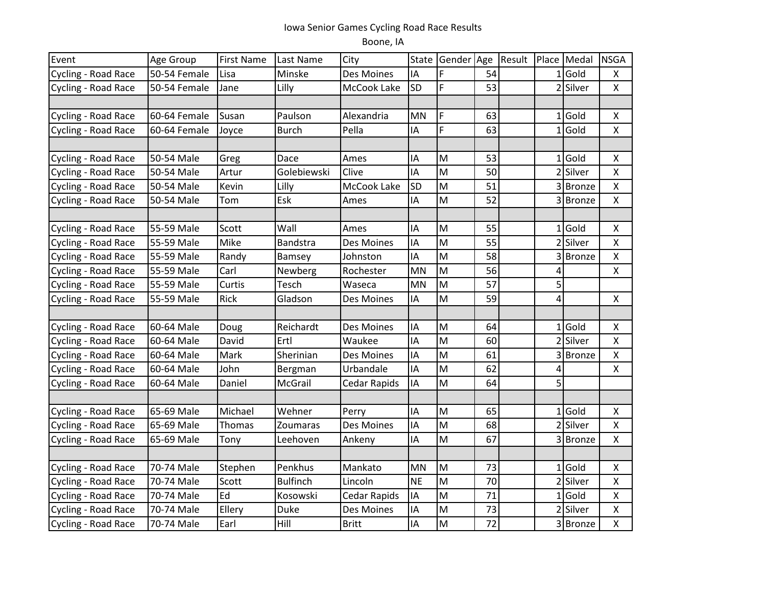## Iowa Senior Games Cycling Road Race Results Boone, IA

| Event               | Age Group    | <b>First Name</b> | Last Name       | City                | State     | Gender Age                                                                            |    | Result |              | Place Medal   | <b>NSGA</b>        |
|---------------------|--------------|-------------------|-----------------|---------------------|-----------|---------------------------------------------------------------------------------------|----|--------|--------------|---------------|--------------------|
| Cycling - Road Race | 50-54 Female | Lisa              | Minske          | Des Moines          | IA        | F                                                                                     | 54 |        |              | $1$ Gold      | X                  |
| Cycling - Road Race | 50-54 Female | Jane              | Lilly           | McCook Lake         | SD        | F                                                                                     | 53 |        |              | 2 Silver      | $\pmb{\mathsf{X}}$ |
|                     |              |                   |                 |                     |           |                                                                                       |    |        |              |               |                    |
| Cycling - Road Race | 60-64 Female | Susan             | Paulson         | Alexandria          | MN        | F                                                                                     | 63 |        |              | $1$ Gold      | $\pmb{\mathsf{X}}$ |
| Cycling - Road Race | 60-64 Female | Joyce             | <b>Burch</b>    | Pella               | IA        | F                                                                                     | 63 |        | $\mathbf{1}$ | Gold          | $\pmb{\mathsf{X}}$ |
|                     |              |                   |                 |                     |           |                                                                                       |    |        |              |               |                    |
| Cycling - Road Race | 50-54 Male   | Greg              | Dace            | Ames                | IA        | $\mathsf{M}% _{T}=\mathsf{M}_{T}\!\left( a,b\right) ,\ \mathsf{M}_{T}=\mathsf{M}_{T}$ | 53 |        | 1            | Gold          | $\pmb{\mathsf{X}}$ |
| Cycling - Road Race | 50-54 Male   | Artur             | Golebiewski     | Clive               | IA        | M                                                                                     | 50 |        |              | 2 Silver      | $\pmb{\mathsf{X}}$ |
| Cycling - Road Race | 50-54 Male   | Kevin             | Lilly           | McCook Lake         | SD        | M                                                                                     | 51 |        |              | 3 Bronze      | $\mathsf{X}$       |
| Cycling - Road Race | 50-54 Male   | Tom               | Esk             | Ames                | IA        | M                                                                                     | 52 |        |              | 3 Bronze      | $\pmb{\mathsf{X}}$ |
|                     |              |                   |                 |                     |           |                                                                                       |    |        |              |               |                    |
| Cycling - Road Race | 55-59 Male   | Scott             | Wall            | Ames                | IA        | M                                                                                     | 55 |        | $\mathbf{1}$ | Gold          | $\mathsf X$        |
| Cycling - Road Race | 55-59 Male   | Mike              | Bandstra        | Des Moines          | IA        | M                                                                                     | 55 |        |              | 2 Silver      | $\pmb{\mathsf{X}}$ |
| Cycling - Road Race | 55-59 Male   | Randy             | Bamsey          | Johnston            | IA        | M                                                                                     | 58 |        |              | 3 Bronze      | $\pmb{\mathsf{X}}$ |
| Cycling - Road Race | 55-59 Male   | Carl              | Newberg         | Rochester           | MN        | M                                                                                     | 56 |        | 4            |               | X                  |
| Cycling - Road Race | 55-59 Male   | Curtis            | Tesch           | Waseca              | MN        | M                                                                                     | 57 |        | 5            |               |                    |
| Cycling - Road Race | 55-59 Male   | Rick              | Gladson         | Des Moines          | IA        | M                                                                                     | 59 |        | 4            |               | X                  |
|                     |              |                   |                 |                     |           |                                                                                       |    |        |              |               |                    |
| Cycling - Road Race | 60-64 Male   | Doug              | Reichardt       | Des Moines          | IA        | M                                                                                     | 64 |        |              | $1$ Gold      | $\pmb{\times}$     |
| Cycling - Road Race | 60-64 Male   | David             | Ertl            | Waukee              | IA        | M                                                                                     | 60 |        |              | 2 Silver      | $\pmb{\mathsf{X}}$ |
| Cycling - Road Race | 60-64 Male   | Mark              | Sherinian       | Des Moines          | IA        | ${\sf M}$                                                                             | 61 |        |              | <b>Bronze</b> | $\pmb{\mathsf{X}}$ |
| Cycling - Road Race | 60-64 Male   | John              | Bergman         | Urbandale           | IA        | M                                                                                     | 62 |        | 4            |               | X                  |
| Cycling - Road Race | 60-64 Male   | Daniel            | <b>McGrail</b>  | Cedar Rapids        | IA        | M                                                                                     | 64 |        | 5            |               |                    |
|                     |              |                   |                 |                     |           |                                                                                       |    |        |              |               |                    |
| Cycling - Road Race | 65-69 Male   | Michael           | Wehner          | Perry               | IA        | M                                                                                     | 65 |        |              | $1 $ Gold     | $\pmb{\times}$     |
| Cycling - Road Race | 65-69 Male   | Thomas            | Zoumaras        | Des Moines          | IA        | M                                                                                     | 68 |        | 2            | Silver        | $\pmb{\mathsf{X}}$ |
| Cycling - Road Race | 65-69 Male   | Tony              | Leehoven        | Ankeny              | IA        | M                                                                                     | 67 |        |              | 3 Bronze      | X                  |
|                     |              |                   |                 |                     |           |                                                                                       |    |        |              |               |                    |
| Cycling - Road Race | 70-74 Male   | Stephen           | Penkhus         | Mankato             | <b>MN</b> | M                                                                                     | 73 |        | 1            | Gold          | $\pmb{\times}$     |
| Cycling - Road Race | 70-74 Male   | Scott             | <b>Bulfinch</b> | Lincoln             | <b>NE</b> | M                                                                                     | 70 |        |              | 2 Silver      | $\mathsf X$        |
| Cycling - Road Race | 70-74 Male   | Ed                | Kosowski        | <b>Cedar Rapids</b> | IA        | M                                                                                     | 71 |        | 1            | Gold          | $\pmb{\mathsf{X}}$ |
| Cycling - Road Race | 70-74 Male   | Ellery            | <b>Duke</b>     | Des Moines          | IA        | M                                                                                     | 73 |        |              | 2 Silver      | $\pmb{\mathsf{X}}$ |
| Cycling - Road Race | 70-74 Male   | Earl              | Hill            | <b>Britt</b>        | IA        | M                                                                                     | 72 |        |              | 3 Bronze      | $\mathsf X$        |